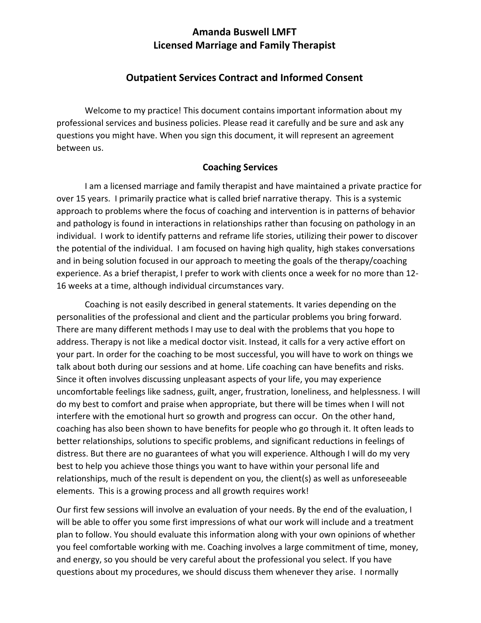# **Amanda Buswell LMFT Licensed Marriage and Family Therapist**

# **Outpatient Services Contract and Informed Consent**

Welcome to my practice! This document contains important information about my professional services and business policies. Please read it carefully and be sure and ask any questions you might have. When you sign this document, it will represent an agreement between us.

## **Coaching Services**

I am a licensed marriage and family therapist and have maintained a private practice for over 15 years. I primarily practice what is called brief narrative therapy. This is a systemic approach to problems where the focus of coaching and intervention is in patterns of behavior and pathology is found in interactions in relationships rather than focusing on pathology in an individual. I work to identify patterns and reframe life stories, utilizing their power to discover the potential of the individual. I am focused on having high quality, high stakes conversations and in being solution focused in our approach to meeting the goals of the therapy/coaching experience. As a brief therapist, I prefer to work with clients once a week for no more than 12- 16 weeks at a time, although individual circumstances vary.

Coaching is not easily described in general statements. It varies depending on the personalities of the professional and client and the particular problems you bring forward. There are many different methods I may use to deal with the problems that you hope to address. Therapy is not like a medical doctor visit. Instead, it calls for a very active effort on your part. In order for the coaching to be most successful, you will have to work on things we talk about both during our sessions and at home. Life coaching can have benefits and risks. Since it often involves discussing unpleasant aspects of your life, you may experience uncomfortable feelings like sadness, guilt, anger, frustration, loneliness, and helplessness. I will do my best to comfort and praise when appropriate, but there will be times when I will not interfere with the emotional hurt so growth and progress can occur. On the other hand, coaching has also been shown to have benefits for people who go through it. It often leads to better relationships, solutions to specific problems, and significant reductions in feelings of distress. But there are no guarantees of what you will experience. Although I will do my very best to help you achieve those things you want to have within your personal life and relationships, much of the result is dependent on you, the client(s) as well as unforeseeable elements. This is a growing process and all growth requires work!

Our first few sessions will involve an evaluation of your needs. By the end of the evaluation, I will be able to offer you some first impressions of what our work will include and a treatment plan to follow. You should evaluate this information along with your own opinions of whether you feel comfortable working with me. Coaching involves a large commitment of time, money, and energy, so you should be very careful about the professional you select. If you have questions about my procedures, we should discuss them whenever they arise. I normally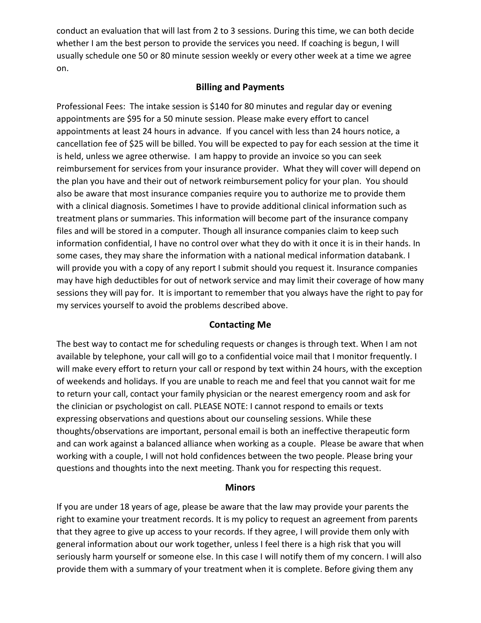conduct an evaluation that will last from 2 to 3 sessions. During this time, we can both decide whether I am the best person to provide the services you need. If coaching is begun, I will usually schedule one 50 or 80 minute session weekly or every other week at a time we agree on.

# **Billing and Payments**

Professional Fees: The intake session is \$140 for 80 minutes and regular day or evening appointments are \$95 for a 50 minute session. Please make every effort to cancel appointments at least 24 hours in advance. If you cancel with less than 24 hours notice, a cancellation fee of \$25 will be billed. You will be expected to pay for each session at the time it is held, unless we agree otherwise. I am happy to provide an invoice so you can seek reimbursement for services from your insurance provider. What they will cover will depend on the plan you have and their out of network reimbursement policy for your plan. You should also be aware that most insurance companies require you to authorize me to provide them with a clinical diagnosis. Sometimes I have to provide additional clinical information such as treatment plans or summaries. This information will become part of the insurance company files and will be stored in a computer. Though all insurance companies claim to keep such information confidential, I have no control over what they do with it once it is in their hands. In some cases, they may share the information with a national medical information databank. I will provide you with a copy of any report I submit should you request it. Insurance companies may have high deductibles for out of network service and may limit their coverage of how many sessions they will pay for. It is important to remember that you always have the right to pay for my services yourself to avoid the problems described above.

## **Contacting Me**

The best way to contact me for scheduling requests or changes is through text. When I am not available by telephone, your call will go to a confidential voice mail that I monitor frequently. I will make every effort to return your call or respond by text within 24 hours, with the exception of weekends and holidays. If you are unable to reach me and feel that you cannot wait for me to return your call, contact your family physician or the nearest emergency room and ask for the clinician or psychologist on call. PLEASE NOTE: I cannot respond to emails or texts expressing observations and questions about our counseling sessions. While these thoughts/observations are important, personal email is both an ineffective therapeutic form and can work against a balanced alliance when working as a couple. Please be aware that when working with a couple, I will not hold confidences between the two people. Please bring your questions and thoughts into the next meeting. Thank you for respecting this request.

#### **Minors**

If you are under 18 years of age, please be aware that the law may provide your parents the right to examine your treatment records. It is my policy to request an agreement from parents that they agree to give up access to your records. If they agree, I will provide them only with general information about our work together, unless I feel there is a high risk that you will seriously harm yourself or someone else. In this case I will notify them of my concern. I will also provide them with a summary of your treatment when it is complete. Before giving them any